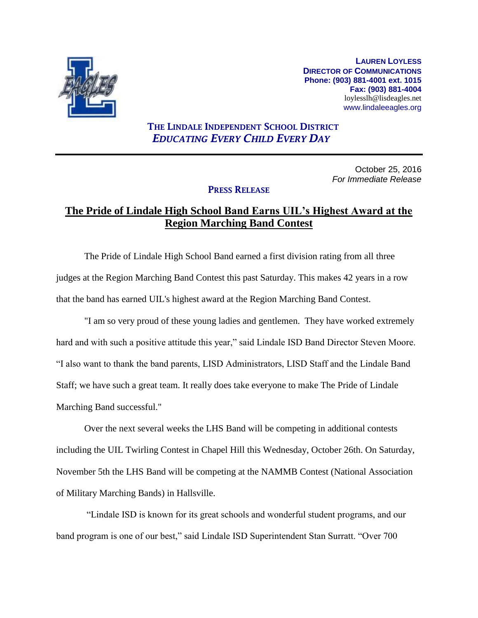

**LAUREN LOYLESS DIRECTOR OF COMMUNICATIONS Phone: (903) 881-4001 ext. 1015 Fax: (903) 881-4004** loylesslh@lisdeagles.net www.lindaleeagles.org

## **THE LINDALE INDEPENDENT SCHOOL DISTRICT** *EDUCATING EVERY CHILD EVERY DAY*

October 25, 2016 *For Immediate Release*

## **PRESS RELEASE**

## **The Pride of Lindale High School Band Earns UIL's Highest Award at the Region Marching Band Contest**

The Pride of Lindale High School Band earned a first division rating from all three judges at the Region Marching Band Contest this past Saturday. This makes 42 years in a row that the band has earned UIL's highest award at the Region Marching Band Contest.

"I am so very proud of these young ladies and gentlemen. They have worked extremely hard and with such a positive attitude this year," said Lindale ISD Band Director Steven Moore. "I also want to thank the band parents, LISD Administrators, LISD Staff and the Lindale Band Staff; we have such a great team. It really does take everyone to make The Pride of Lindale Marching Band successful."

Over the next several weeks the LHS Band will be competing in additional contests including the UIL Twirling Contest in Chapel Hill this Wednesday, October 26th. On Saturday, November 5th the LHS Band will be competing at the NAMMB Contest (National Association of Military Marching Bands) in Hallsville.

"Lindale ISD is known for its great schools and wonderful student programs, and our band program is one of our best," said Lindale ISD Superintendent Stan Surratt. "Over 700